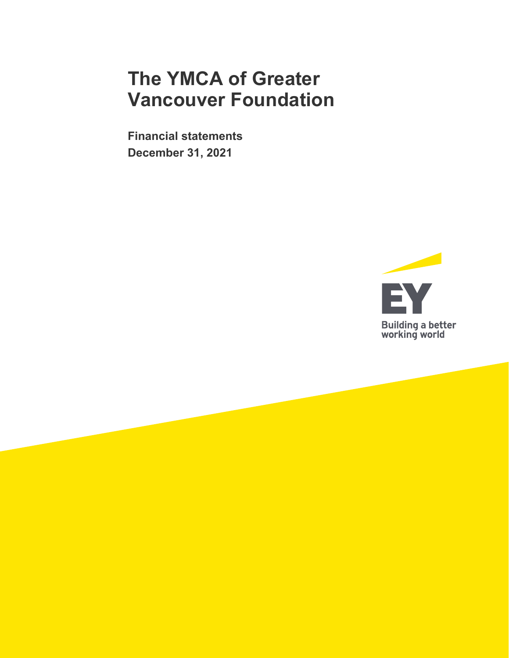**Financial statements December 31, 2021** 

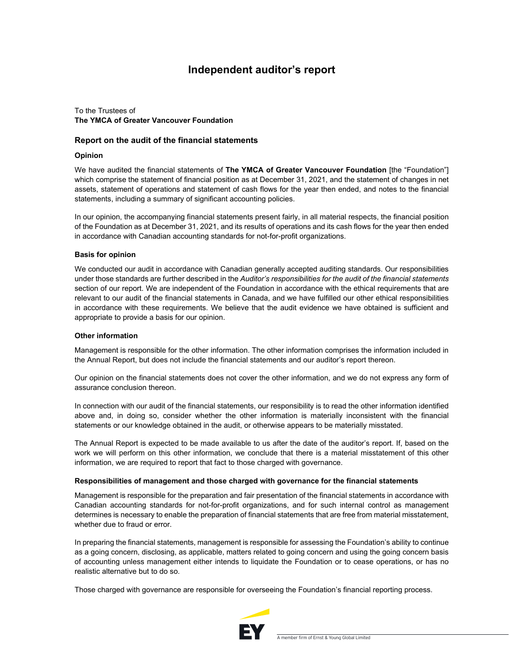### **Independent auditor's report**

### To the Trustees of **The YMCA of Greater Vancouver Foundation**

#### **Report on the audit of the financial statements**

#### **Opinion**

We have audited the financial statements of **The YMCA of Greater Vancouver Foundation** [the "Foundation"] which comprise the statement of financial position as at December 31, 2021, and the statement of changes in net assets, statement of operations and statement of cash flows for the year then ended, and notes to the financial statements, including a summary of significant accounting policies.

In our opinion, the accompanying financial statements present fairly, in all material respects, the financial position of the Foundation as at December 31, 2021, and its results of operations and its cash flows for the year then ended in accordance with Canadian accounting standards for not-for-profit organizations.

### **Basis for opinion**

We conducted our audit in accordance with Canadian generally accepted auditing standards. Our responsibilities under those standards are further described in the *Auditor's responsibilities for the audit of the financial statements*  section of our report. We are independent of the Foundation in accordance with the ethical requirements that are relevant to our audit of the financial statements in Canada, and we have fulfilled our other ethical responsibilities in accordance with these requirements. We believe that the audit evidence we have obtained is sufficient and appropriate to provide a basis for our opinion.

#### **Other information**

Management is responsible for the other information. The other information comprises the information included in the Annual Report, but does not include the financial statements and our auditor's report thereon.

Our opinion on the financial statements does not cover the other information, and we do not express any form of assurance conclusion thereon.

In connection with our audit of the financial statements, our responsibility is to read the other information identified above and, in doing so, consider whether the other information is materially inconsistent with the financial statements or our knowledge obtained in the audit, or otherwise appears to be materially misstated.

The Annual Report is expected to be made available to us after the date of the auditor's report. If, based on the work we will perform on this other information, we conclude that there is a material misstatement of this other information, we are required to report that fact to those charged with governance.

#### **Responsibilities of management and those charged with governance for the financial statements**

Management is responsible for the preparation and fair presentation of the financial statements in accordance with Canadian accounting standards for not-for-profit organizations, and for such internal control as management determines is necessary to enable the preparation of financial statements that are free from material misstatement, whether due to fraud or error.

In preparing the financial statements, management is responsible for assessing the Foundation's ability to continue as a going concern, disclosing, as applicable, matters related to going concern and using the going concern basis of accounting unless management either intends to liquidate the Foundation or to cease operations, or has no realistic alternative but to do so.

Those charged with governance are responsible for overseeing the Foundation's financial reporting process.

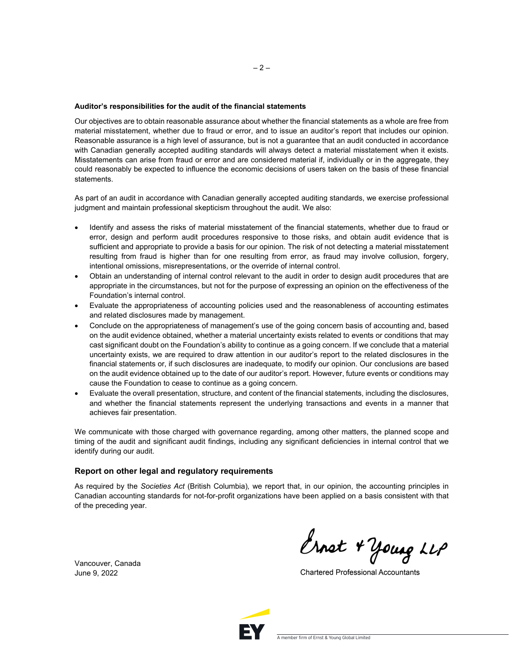#### **Auditor's responsibilities for the audit of the financial statements**

Our objectives are to obtain reasonable assurance about whether the financial statements as a whole are free from material misstatement, whether due to fraud or error, and to issue an auditor's report that includes our opinion. Reasonable assurance is a high level of assurance, but is not a guarantee that an audit conducted in accordance with Canadian generally accepted auditing standards will always detect a material misstatement when it exists. Misstatements can arise from fraud or error and are considered material if, individually or in the aggregate, they could reasonably be expected to influence the economic decisions of users taken on the basis of these financial statements.

 $-2-$ 

As part of an audit in accordance with Canadian generally accepted auditing standards, we exercise professional judgment and maintain professional skepticism throughout the audit. We also:

- Identify and assess the risks of material misstatement of the financial statements, whether due to fraud or error, design and perform audit procedures responsive to those risks, and obtain audit evidence that is sufficient and appropriate to provide a basis for our opinion. The risk of not detecting a material misstatement resulting from fraud is higher than for one resulting from error, as fraud may involve collusion, forgery, intentional omissions, misrepresentations, or the override of internal control.
- Obtain an understanding of internal control relevant to the audit in order to design audit procedures that are appropriate in the circumstances, but not for the purpose of expressing an opinion on the effectiveness of the Foundation's internal control.
- Evaluate the appropriateness of accounting policies used and the reasonableness of accounting estimates and related disclosures made by management.
- Conclude on the appropriateness of management's use of the going concern basis of accounting and, based on the audit evidence obtained, whether a material uncertainty exists related to events or conditions that may cast significant doubt on the Foundation's ability to continue as a going concern. If we conclude that a material uncertainty exists, we are required to draw attention in our auditor's report to the related disclosures in the financial statements or, if such disclosures are inadequate, to modify our opinion. Our conclusions are based on the audit evidence obtained up to the date of our auditor's report. However, future events or conditions may cause the Foundation to cease to continue as a going concern.
- Evaluate the overall presentation, structure, and content of the financial statements, including the disclosures, and whether the financial statements represent the underlying transactions and events in a manner that achieves fair presentation.

We communicate with those charged with governance regarding, among other matters, the planned scope and timing of the audit and significant audit findings, including any significant deficiencies in internal control that we identify during our audit.

#### **Report on other legal and regulatory requirements**

As required by the *Societies Act* (British Columbia)*,* we report that, in our opinion, the accounting principles in Canadian accounting standards for not-for-profit organizations have been applied on a basis consistent with that of the preceding year.

Ernst + Young LLP

**Chartered Professional Accountants** 



Vancouver, Canada June 9, 2022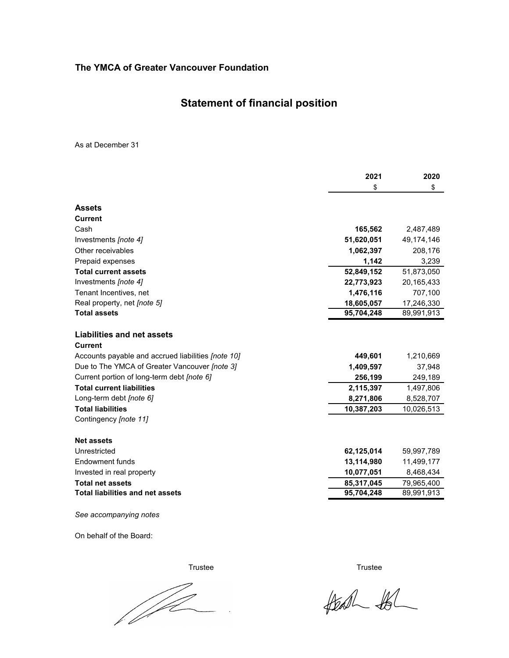## **Statement of financial position**

As at December 31

|                                                    | 2021       | 2020       |
|----------------------------------------------------|------------|------------|
|                                                    | \$         | \$         |
| <b>Assets</b>                                      |            |            |
| <b>Current</b>                                     |            |            |
| Cash                                               | 165,562    | 2,487,489  |
| Investments [note 4]                               | 51,620,051 | 49,174,146 |
| Other receivables                                  | 1,062,397  | 208,176    |
| Prepaid expenses                                   | 1,142      | 3,239      |
| <b>Total current assets</b>                        | 52,849,152 | 51,873,050 |
| Investments [note 4]                               | 22,773,923 | 20,165,433 |
| Tenant Incentives, net                             | 1,476,116  | 707,100    |
| Real property, net [note 5]                        | 18,605,057 | 17,246,330 |
| <b>Total assets</b>                                | 95,704,248 | 89,991,913 |
| Liabilities and net assets<br><b>Current</b>       |            |            |
| Accounts payable and accrued liabilities [note 10] | 449,601    | 1,210,669  |
| Due to The YMCA of Greater Vancouver [note 3]      | 1,409,597  | 37,948     |
| Current portion of long-term debt [note 6]         | 256,199    | 249,189    |
| <b>Total current liabilities</b>                   | 2,115,397  | 1,497,806  |
| Long-term debt <i>[note 6]</i>                     | 8,271,806  | 8,528,707  |
| <b>Total liabilities</b>                           | 10,387,203 | 10,026,513 |
| Contingency [note 11]                              |            |            |
| <b>Net assets</b>                                  |            |            |
| Unrestricted                                       | 62,125,014 | 59,997,789 |
| <b>Endowment funds</b>                             | 13,114,980 | 11,499,177 |
| Invested in real property                          | 10,077,051 | 8,468,434  |
| <b>Total net assets</b>                            | 85,317,045 | 79,965,400 |
| <b>Total liabilities and net assets</b>            | 95,704,248 | 89,991,913 |
|                                                    |            |            |

*See accompanying notes*

On behalf of the Board:

*M* 

Trustee Trustee

 $#20 - 16$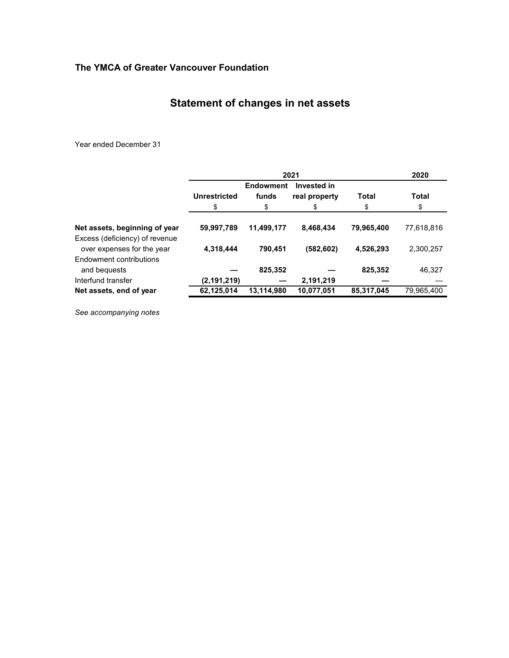# **Statement of changes in net assets**

Year ended December 31

|                                | 2021          |                  |               | 2020         |              |
|--------------------------------|---------------|------------------|---------------|--------------|--------------|
|                                |               | <b>Endowment</b> | Invested in   |              |              |
|                                | Unrestricted  | funds            | real property | <b>Total</b> | <b>Total</b> |
|                                | \$            | \$               | \$            | \$           | \$           |
|                                |               |                  |               |              |              |
| Net assets, beginning of year  | 59,997,789    | 11,499,177       | 8,468,434     | 79,965,400   | 77,618,816   |
| Excess (deficiency) of revenue |               |                  |               |              |              |
| over expenses for the year     | 4,318,444     | 790.451          | (582,602)     | 4,526,293    | 2,300,257    |
| Endowment contributions        |               |                  |               |              |              |
| and bequests                   |               | 825,352          |               | 825,352      | 46,327       |
| Interfund transfer             | (2, 191, 219) |                  | 2,191,219     |              |              |
| Net assets, end of year        | 62,125,014    | 13,114,980       | 10,077,051    | 85,317,045   | 79,965,400   |

*See accompanying notes*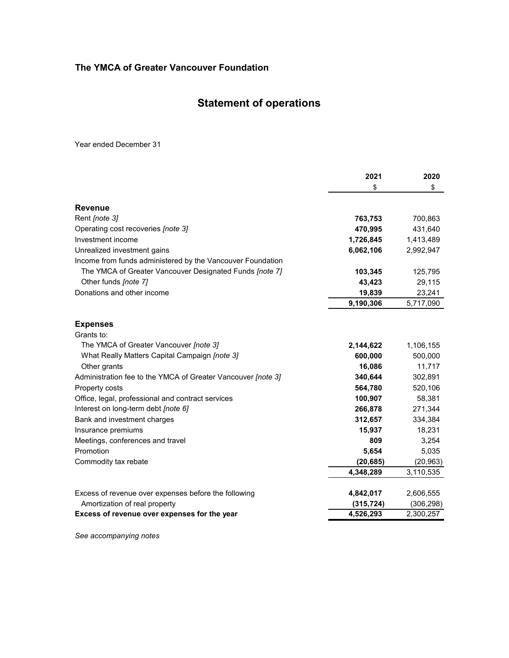# **Statement of operations**

Year ended December 31

|                                                              | 2021       | 2020       |
|--------------------------------------------------------------|------------|------------|
|                                                              | \$         | \$         |
| <b>Revenue</b>                                               |            |            |
| Rent [note 3]                                                | 763,753    | 700,863    |
| Operating cost recoveries [note 3]                           | 470,995    | 431,640    |
| Investment income                                            | 1,726,845  | 1,413,489  |
| Unrealized investment gains                                  | 6,062,106  | 2,992,947  |
| Income from funds administered by the Vancouver Foundation   |            |            |
| The YMCA of Greater Vancouver Designated Funds [note 7]      | 103,345    | 125,795    |
| Other funds [note 7]                                         | 43,423     | 29,115     |
| Donations and other income                                   | 19,839     | 23,241     |
|                                                              | 9,190,306  | 5,717,090  |
| <b>Expenses</b><br>Grants to:                                |            |            |
| The YMCA of Greater Vancouver [note 3]                       | 2,144,622  | 1,106,155  |
| What Really Matters Capital Campaign [note 3]                | 600,000    | 500,000    |
| Other grants                                                 | 16,086     | 11,717     |
| Administration fee to the YMCA of Greater Vancouver [note 3] | 340,644    | 302,891    |
| Property costs                                               | 564,780    | 520,106    |
| Office, legal, professional and contract services            | 100,907    | 58,381     |
| Interest on long-term debt [note 6]                          | 266,878    | 271,344    |
| Bank and investment charges                                  | 312,657    | 334,384    |
| Insurance premiums                                           | 15,937     | 18,231     |
| Meetings, conferences and travel                             | 809        | 3,254      |
| Promotion                                                    | 5,654      | 5,035      |
| Commodity tax rebate                                         | (20, 685)  | (20, 963)  |
|                                                              | 4,348,289  | 3,110,535  |
| Excess of revenue over expenses before the following         | 4,842,017  | 2,606,555  |
| Amortization of real property                                | (315, 724) | (306, 298) |
| Excess of revenue over expenses for the year                 | 4,526,293  | 2,300,257  |

*See accompanying notes*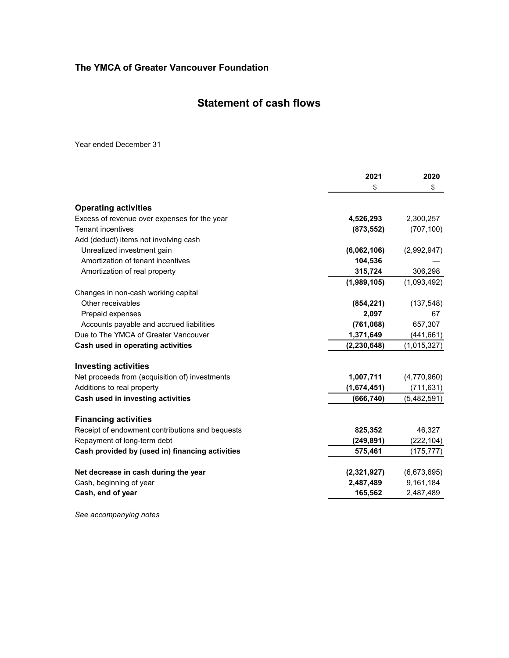### **Statement of cash flows**

Year ended December 31

|                                                 | 2021          | 2020        |
|-------------------------------------------------|---------------|-------------|
|                                                 | \$            | \$          |
| <b>Operating activities</b>                     |               |             |
| Excess of revenue over expenses for the year    | 4,526,293     | 2,300,257   |
| <b>Tenant incentives</b>                        | (873, 552)    | (707, 100)  |
| Add (deduct) items not involving cash           |               |             |
| Unrealized investment gain                      | (6,062,106)   | (2,992,947) |
| Amortization of tenant incentives               | 104,536       |             |
| Amortization of real property                   | 315,724       | 306,298     |
|                                                 | (1,989,105)   | (1,093,492) |
| Changes in non-cash working capital             |               |             |
| Other receivables                               | (854, 221)    | (137, 548)  |
| Prepaid expenses                                | 2,097         | 67          |
| Accounts payable and accrued liabilities        | (761,068)     | 657,307     |
| Due to The YMCA of Greater Vancouver            | 1,371,649     | (441, 661)  |
| Cash used in operating activities               | (2, 230, 648) | (1,015,327) |
| <b>Investing activities</b>                     |               |             |
| Net proceeds from (acquisition of) investments  | 1,007,711     | (4,770,960) |
| Additions to real property                      | (1,674,451)   | (711, 631)  |
| Cash used in investing activities               | (666, 740)    | (5,482,591) |
| <b>Financing activities</b>                     |               |             |
| Receipt of endowment contributions and bequests | 825,352       | 46,327      |
| Repayment of long-term debt                     | (249, 891)    | (222, 104)  |
| Cash provided by (used in) financing activities | 575,461       |             |
|                                                 |               | (175,777)   |
| Net decrease in cash during the year            | (2,321,927)   | (6,673,695) |
| Cash, beginning of year                         | 2,487,489     | 9,161,184   |
| Cash, end of year                               | 165,562       | 2,487,489   |
|                                                 |               |             |

*See accompanying notes*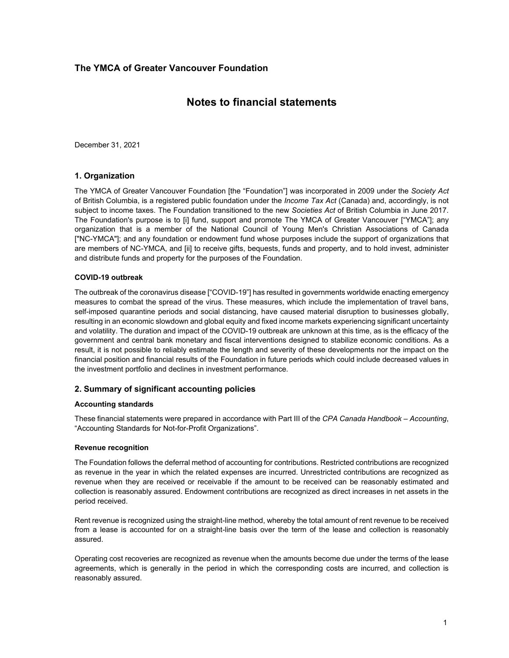### **Notes to financial statements**

December 31, 2021

### **1. Organization**

The YMCA of Greater Vancouver Foundation [the "Foundation"] was incorporated in 2009 under the *Society Act* of British Columbia, is a registered public foundation under the *Income Tax Act* (Canada) and, accordingly, is not subject to income taxes. The Foundation transitioned to the new *Societies Act* of British Columbia in June 2017. The Foundation's purpose is to [i] fund, support and promote The YMCA of Greater Vancouver ["YMCA"]; any organization that is a member of the National Council of Young Men's Christian Associations of Canada ["NC-YMCA"]; and any foundation or endowment fund whose purposes include the support of organizations that are members of NC-YMCA, and [ii] to receive gifts, bequests, funds and property, and to hold invest, administer and distribute funds and property for the purposes of the Foundation.

#### **COVID-19 outbreak**

The outbreak of the coronavirus disease ["COVID-19"] has resulted in governments worldwide enacting emergency measures to combat the spread of the virus. These measures, which include the implementation of travel bans, self-imposed quarantine periods and social distancing, have caused material disruption to businesses globally, resulting in an economic slowdown and global equity and fixed income markets experiencing significant uncertainty and volatility. The duration and impact of the COVID-19 outbreak are unknown at this time, as is the efficacy of the government and central bank monetary and fiscal interventions designed to stabilize economic conditions. As a result, it is not possible to reliably estimate the length and severity of these developments nor the impact on the financial position and financial results of the Foundation in future periods which could include decreased values in the investment portfolio and declines in investment performance.

#### **2. Summary of significant accounting policies**

#### **Accounting standards**

These financial statements were prepared in accordance with Part III of the *CPA Canada Handbook – Accounting*, "Accounting Standards for Not-for-Profit Organizations".

#### **Revenue recognition**

The Foundation follows the deferral method of accounting for contributions. Restricted contributions are recognized as revenue in the year in which the related expenses are incurred. Unrestricted contributions are recognized as revenue when they are received or receivable if the amount to be received can be reasonably estimated and collection is reasonably assured. Endowment contributions are recognized as direct increases in net assets in the period received.

Rent revenue is recognized using the straight-line method, whereby the total amount of rent revenue to be received from a lease is accounted for on a straight-line basis over the term of the lease and collection is reasonably assured.

Operating cost recoveries are recognized as revenue when the amounts become due under the terms of the lease agreements, which is generally in the period in which the corresponding costs are incurred, and collection is reasonably assured.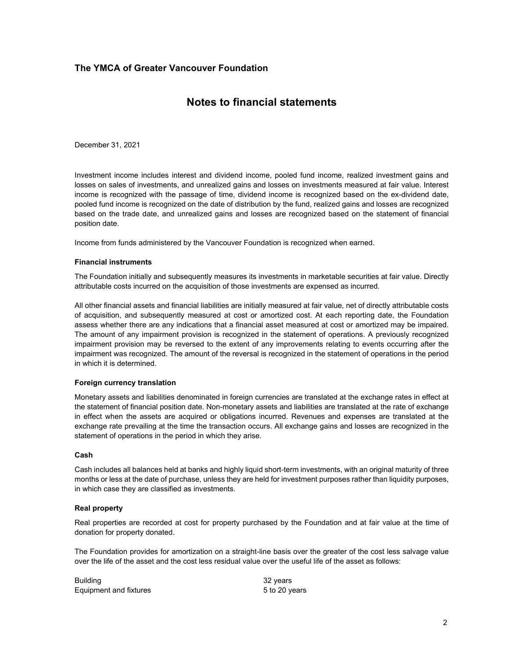### **Notes to financial statements**

December 31, 2021

Investment income includes interest and dividend income, pooled fund income, realized investment gains and losses on sales of investments, and unrealized gains and losses on investments measured at fair value. Interest income is recognized with the passage of time, dividend income is recognized based on the ex-dividend date, pooled fund income is recognized on the date of distribution by the fund, realized gains and losses are recognized based on the trade date, and unrealized gains and losses are recognized based on the statement of financial position date.

Income from funds administered by the Vancouver Foundation is recognized when earned.

#### **Financial instruments**

The Foundation initially and subsequently measures its investments in marketable securities at fair value. Directly attributable costs incurred on the acquisition of those investments are expensed as incurred.

All other financial assets and financial liabilities are initially measured at fair value, net of directly attributable costs of acquisition, and subsequently measured at cost or amortized cost. At each reporting date, the Foundation assess whether there are any indications that a financial asset measured at cost or amortized may be impaired. The amount of any impairment provision is recognized in the statement of operations. A previously recognized impairment provision may be reversed to the extent of any improvements relating to events occurring after the impairment was recognized. The amount of the reversal is recognized in the statement of operations in the period in which it is determined.

#### **Foreign currency translation**

Monetary assets and liabilities denominated in foreign currencies are translated at the exchange rates in effect at the statement of financial position date. Non-monetary assets and liabilities are translated at the rate of exchange in effect when the assets are acquired or obligations incurred. Revenues and expenses are translated at the exchange rate prevailing at the time the transaction occurs. All exchange gains and losses are recognized in the statement of operations in the period in which they arise.

#### **Cash**

Cash includes all balances held at banks and highly liquid short-term investments, with an original maturity of three months or less at the date of purchase, unless they are held for investment purposes rather than liquidity purposes, in which case they are classified as investments.

#### **Real property**

Real properties are recorded at cost for property purchased by the Foundation and at fair value at the time of donation for property donated.

The Foundation provides for amortization on a straight-line basis over the greater of the cost less salvage value over the life of the asset and the cost less residual value over the useful life of the asset as follows:

| <b>Building</b>        | 32 years      |
|------------------------|---------------|
| Equipment and fixtures | 5 to 20 years |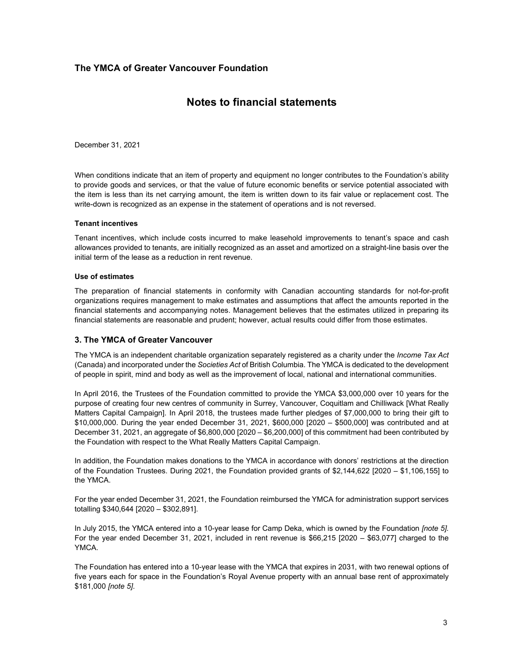### **Notes to financial statements**

December 31, 2021

When conditions indicate that an item of property and equipment no longer contributes to the Foundation's ability to provide goods and services, or that the value of future economic benefits or service potential associated with the item is less than its net carrying amount, the item is written down to its fair value or replacement cost. The write-down is recognized as an expense in the statement of operations and is not reversed.

#### **Tenant incentives**

Tenant incentives, which include costs incurred to make leasehold improvements to tenant's space and cash allowances provided to tenants, are initially recognized as an asset and amortized on a straight-line basis over the initial term of the lease as a reduction in rent revenue.

#### **Use of estimates**

The preparation of financial statements in conformity with Canadian accounting standards for not-for-profit organizations requires management to make estimates and assumptions that affect the amounts reported in the financial statements and accompanying notes. Management believes that the estimates utilized in preparing its financial statements are reasonable and prudent; however, actual results could differ from those estimates.

### **3. The YMCA of Greater Vancouver**

The YMCA is an independent charitable organization separately registered as a charity under the *Income Tax Act* (Canada) and incorporated under the *Societies Act* of British Columbia. The YMCA is dedicated to the development of people in spirit, mind and body as well as the improvement of local, national and international communities.

In April 2016, the Trustees of the Foundation committed to provide the YMCA \$3,000,000 over 10 years for the purpose of creating four new centres of community in Surrey, Vancouver, Coquitlam and Chilliwack [What Really Matters Capital Campaign]. In April 2018, the trustees made further pledges of \$7,000,000 to bring their gift to \$10,000,000. During the year ended December 31, 2021, \$600,000 [2020 – \$500,000] was contributed and at December 31, 2021, an aggregate of \$6,800,000 [2020 – \$6,200,000] of this commitment had been contributed by the Foundation with respect to the What Really Matters Capital Campaign.

In addition, the Foundation makes donations to the YMCA in accordance with donors' restrictions at the direction of the Foundation Trustees. During 2021, the Foundation provided grants of \$2,144,622 [2020 – \$1,106,155] to the YMCA.

For the year ended December 31, 2021, the Foundation reimbursed the YMCA for administration support services totalling \$340,644 [2020 – \$302,891].

In July 2015, the YMCA entered into a 10-year lease for Camp Deka, which is owned by the Foundation *[note 5].* For the year ended December 31, 2021, included in rent revenue is \$66,215 [2020 – \$63,077] charged to the YMCA.

The Foundation has entered into a 10-year lease with the YMCA that expires in 2031, with two renewal options of five years each for space in the Foundation's Royal Avenue property with an annual base rent of approximately \$181,000 *[note 5]*.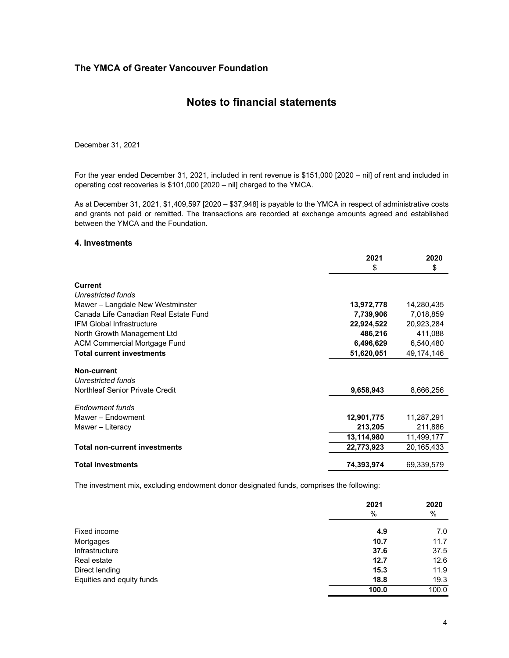### **Notes to financial statements**

December 31, 2021

For the year ended December 31, 2021, included in rent revenue is \$151,000 [2020 – nil] of rent and included in operating cost recoveries is \$101,000 [2020 – nil] charged to the YMCA.

As at December 31, 2021, \$1,409,597 [2020 – \$37,948] is payable to the YMCA in respect of administrative costs and grants not paid or remitted. The transactions are recorded at exchange amounts agreed and established between the YMCA and the Foundation.

### **4. Investments**

|                                       | 2021<br>\$ | 2020<br>\$ |
|---------------------------------------|------------|------------|
| Current                               |            |            |
| Unrestricted funds                    |            |            |
| Mawer - Langdale New Westminster      | 13,972,778 | 14,280,435 |
| Canada Life Canadian Real Estate Fund | 7,739,906  | 7,018,859  |
| <b>IFM Global Infrastructure</b>      | 22,924,522 | 20,923,284 |
| North Growth Management Ltd           | 486,216    | 411,088    |
| <b>ACM Commercial Mortgage Fund</b>   | 6,496,629  | 6,540,480  |
| <b>Total current investments</b>      | 51,620,051 | 49,174,146 |
| Non-current                           |            |            |
| Unrestricted funds                    |            |            |
| Northleaf Senior Private Credit       | 9,658,943  | 8,666,256  |
| <b>Endowment funds</b>                |            |            |
| Mawer - Endowment                     | 12,901,775 | 11,287,291 |
| Mawer - Literacy                      | 213,205    | 211,886    |
|                                       | 13,114,980 | 11,499,177 |
| <b>Total non-current investments</b>  | 22,773,923 | 20,165,433 |
| <b>Total investments</b>              | 74,393,974 | 69,339,579 |

The investment mix, excluding endowment donor designated funds, comprises the following:

|                           | 2021  | 2020  |
|---------------------------|-------|-------|
|                           | %     | %     |
| Fixed income              | 4.9   | 7.0   |
| Mortgages                 | 10.7  | 11.7  |
| Infrastructure            | 37.6  | 37.5  |
| Real estate               | 12.7  | 12.6  |
| Direct lending            | 15.3  | 11.9  |
| Equities and equity funds | 18.8  | 19.3  |
|                           | 100.0 | 100.0 |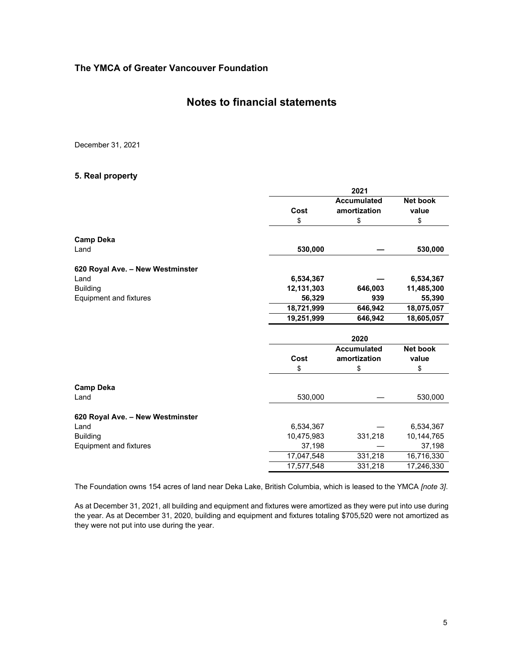### **Notes to financial statements**

December 31, 2021

### **5. Real property**

|                                  |            | 2021                               |                          |
|----------------------------------|------------|------------------------------------|--------------------------|
|                                  | Cost       | <b>Accumulated</b><br>amortization | <b>Net book</b><br>value |
|                                  | \$         | \$                                 | \$                       |
| <b>Camp Deka</b>                 |            |                                    |                          |
| Land                             | 530,000    |                                    | 530,000                  |
| 620 Royal Ave. - New Westminster |            |                                    |                          |
| Land                             | 6,534,367  |                                    | 6,534,367                |
| <b>Building</b>                  | 12,131,303 | 646,003                            | 11,485,300               |
| <b>Equipment and fixtures</b>    | 56,329     | 939                                | 55,390                   |
|                                  | 18,721,999 | 646,942                            | 18,075,057               |
|                                  | 19,251,999 | 646,942                            | 18,605,057               |
|                                  |            | 2020                               |                          |
|                                  |            | <b>Accumulated</b>                 | <b>Net book</b>          |
|                                  | Cost       | amortization                       | value                    |
|                                  | \$         | \$                                 | \$                       |
| <b>Camp Deka</b>                 |            |                                    |                          |
| Land                             | 530,000    |                                    | 530,000                  |
| 620 Royal Ave. - New Westminster |            |                                    |                          |
| Land                             | 6,534,367  |                                    | 6,534,367                |
| <b>Building</b>                  | 10,475,983 | 331,218                            | 10,144,765               |
| Equipment and fixtures           | 37,198     |                                    | 37,198                   |
|                                  | 17,047,548 | 331,218                            | 16,716,330               |
|                                  | 17,577,548 | 331,218                            | 17,246,330               |

The Foundation owns 154 acres of land near Deka Lake, British Columbia, which is leased to the YMCA *[note 3]*.

As at December 31, 2021, all building and equipment and fixtures were amortized as they were put into use during the year. As at December 31, 2020, building and equipment and fixtures totaling \$705,520 were not amortized as they were not put into use during the year.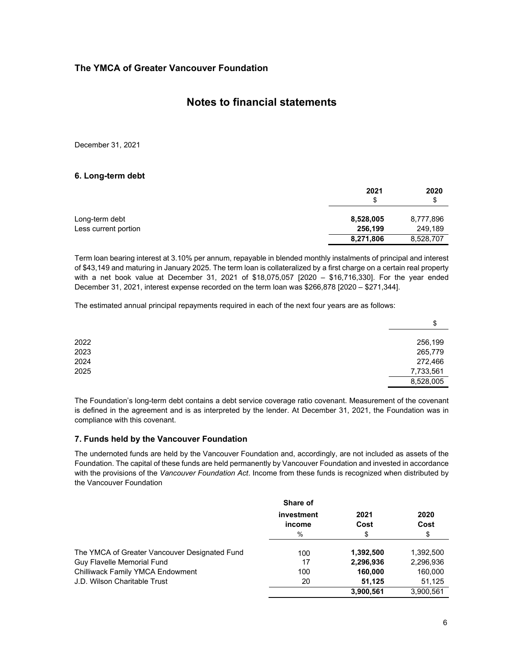### **Notes to financial statements**

December 31, 2021

### **6. Long-term debt**

|                      | 2021<br>\$ | 2020<br>\$ |
|----------------------|------------|------------|
| Long-term debt       | 8,528,005  | 8,777,896  |
| Less current portion | 256,199    | 249,189    |
|                      | 8,271,806  | 8,528,707  |

Term loan bearing interest at 3.10% per annum, repayable in blended monthly instalments of principal and interest of \$43,149 and maturing in January 2025. The term loan is collateralized by a first charge on a certain real property with a net book value at December 31, 2021 of \$18,075,057 [2020 – \$16,716,330]. For the year ended December 31, 2021, interest expense recorded on the term loan was \$266,878 [2020 – \$271,344].

The estimated annual principal repayments required in each of the next four years are as follows:

|      | \$        |
|------|-----------|
| 2022 | 256,199   |
| 2023 | 265,779   |
| 2024 | 272,466   |
| 2025 | 7,733,561 |
|      | 8,528,005 |

The Foundation's long-term debt contains a debt service coverage ratio covenant. Measurement of the covenant is defined in the agreement and is as interpreted by the lender. At December 31, 2021, the Foundation was in compliance with this covenant.

### **7. Funds held by the Vancouver Foundation**

The undernoted funds are held by the Vancouver Foundation and, accordingly, are not included as assets of the Foundation. The capital of these funds are held permanently by Vancouver Foundation and invested in accordance with the provisions of the *Vancouver Foundation Act*. Income from these funds is recognized when distributed by the Vancouver Foundation

|                                               | Share of             |              |              |
|-----------------------------------------------|----------------------|--------------|--------------|
|                                               | investment<br>income | 2021<br>Cost | 2020<br>Cost |
|                                               | %                    | \$           | \$           |
| The YMCA of Greater Vancouver Designated Fund | 100                  | 1,392,500    | 1,392,500    |
| <b>Guy Flavelle Memorial Fund</b>             | 17                   | 2,296,936    | 2,296,936    |
| Chilliwack Family YMCA Endowment              | 100                  | 160,000      | 160,000      |
| J.D. Wilson Charitable Trust                  | 20                   | 51.125       | 51,125       |
|                                               |                      | 3,900,561    | 3,900,561    |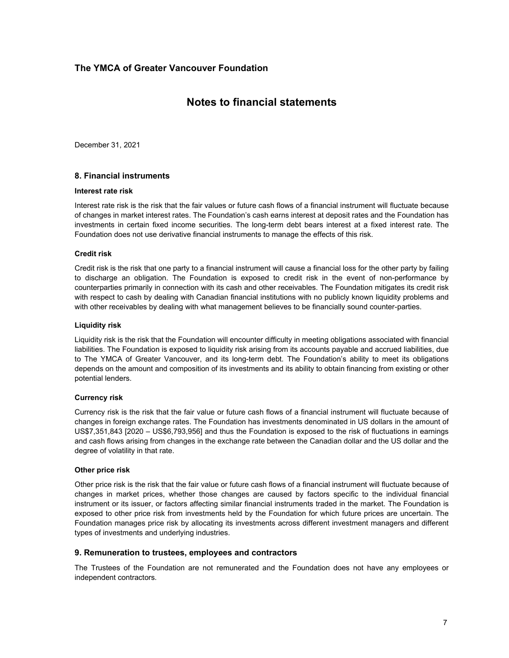### **Notes to financial statements**

December 31, 2021

### **8. Financial instruments**

#### **Interest rate risk**

Interest rate risk is the risk that the fair values or future cash flows of a financial instrument will fluctuate because of changes in market interest rates. The Foundation's cash earns interest at deposit rates and the Foundation has investments in certain fixed income securities. The long-term debt bears interest at a fixed interest rate. The Foundation does not use derivative financial instruments to manage the effects of this risk.

#### **Credit risk**

Credit risk is the risk that one party to a financial instrument will cause a financial loss for the other party by failing to discharge an obligation. The Foundation is exposed to credit risk in the event of non-performance by counterparties primarily in connection with its cash and other receivables. The Foundation mitigates its credit risk with respect to cash by dealing with Canadian financial institutions with no publicly known liquidity problems and with other receivables by dealing with what management believes to be financially sound counter-parties.

### **Liquidity risk**

Liquidity risk is the risk that the Foundation will encounter difficulty in meeting obligations associated with financial liabilities. The Foundation is exposed to liquidity risk arising from its accounts payable and accrued liabilities, due to The YMCA of Greater Vancouver, and its long-term debt. The Foundation's ability to meet its obligations depends on the amount and composition of its investments and its ability to obtain financing from existing or other potential lenders.

#### **Currency risk**

Currency risk is the risk that the fair value or future cash flows of a financial instrument will fluctuate because of changes in foreign exchange rates. The Foundation has investments denominated in US dollars in the amount of US\$7,351,843 [2020 – US\$6,793,956] and thus the Foundation is exposed to the risk of fluctuations in earnings and cash flows arising from changes in the exchange rate between the Canadian dollar and the US dollar and the degree of volatility in that rate.

#### **Other price risk**

Other price risk is the risk that the fair value or future cash flows of a financial instrument will fluctuate because of changes in market prices, whether those changes are caused by factors specific to the individual financial instrument or its issuer, or factors affecting similar financial instruments traded in the market. The Foundation is exposed to other price risk from investments held by the Foundation for which future prices are uncertain. The Foundation manages price risk by allocating its investments across different investment managers and different types of investments and underlying industries.

#### **9. Remuneration to trustees, employees and contractors**

The Trustees of the Foundation are not remunerated and the Foundation does not have any employees or independent contractors*.*